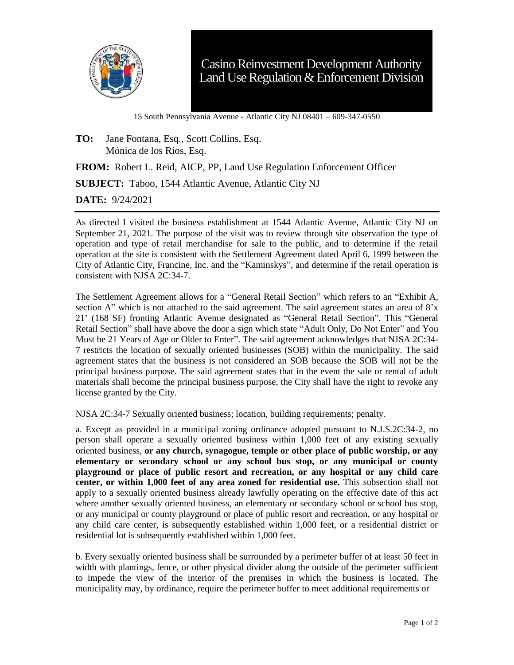

15 South Pennsylvania Avenue - Atlantic City NJ 08401 – 609-347-0550

**TO:** Jane Fontana, Esq., Scott Collins, Esq. Mónica de los Ríos, Esq.

**FROM:** Robert L. Reid, AICP, PP, Land Use Regulation Enforcement Officer

**SUBJECT:** Taboo, 1544 Atlantic Avenue, Atlantic City NJ

**DATE:** 9/24/2021

As directed I visited the business establishment at 1544 Atlantic Avenue, Atlantic City NJ on September 21, 2021. The purpose of the visit was to review through site observation the type of operation and type of retail merchandise for sale to the public, and to determine if the retail operation at the site is consistent with the Settlement Agreement dated April 6, 1999 between the City of Atlantic City, Francine, Inc. and the "Kaminskys", and determine if the retail operation is consistent with NJSA 2C:34-7.

The Settlement Agreement allows for a "General Retail Section" which refers to an "Exhibit A, section A" which is not attached to the said agreement. The said agreement states an area of 8'x 21' (168 SF) fronting Atlantic Avenue designated as "General Retail Section". This "General Retail Section" shall have above the door a sign which state "Adult Only, Do Not Enter" and You Must be 21 Years of Age or Older to Enter". The said agreement acknowledges that NJSA 2C:34- 7 restricts the location of sexually oriented businesses (SOB) within the municipality. The said agreement states that the business is not considered an SOB because the SOB will not be the principal business purpose. The said agreement states that in the event the sale or rental of adult materials shall become the principal business purpose, the City shall have the right to revoke any license granted by the City.

NJSA 2C:34-7 Sexually oriented business; location, building requirements; penalty.

a. Except as provided in a municipal zoning ordinance adopted pursuant to N.J.S.2C:34-2, no person shall operate a sexually oriented business within 1,000 feet of any existing sexually oriented business, **or any church, synagogue, temple or other place of public worship, or any elementary or secondary school or any school bus stop, or any municipal or county playground or place of public resort and recreation, or any hospital or any child care center, or within 1,000 feet of any area zoned for residential use.** This subsection shall not apply to a sexually oriented business already lawfully operating on the effective date of this act where another sexually oriented business, an elementary or secondary school or school bus stop, or any municipal or county playground or place of public resort and recreation, or any hospital or any child care center, is subsequently established within 1,000 feet, or a residential district or residential lot is subsequently established within 1,000 feet.

b. Every sexually oriented business shall be surrounded by a perimeter buffer of at least 50 feet in width with plantings, fence, or other physical divider along the outside of the perimeter sufficient to impede the view of the interior of the premises in which the business is located. The municipality may, by ordinance, require the perimeter buffer to meet additional requirements or